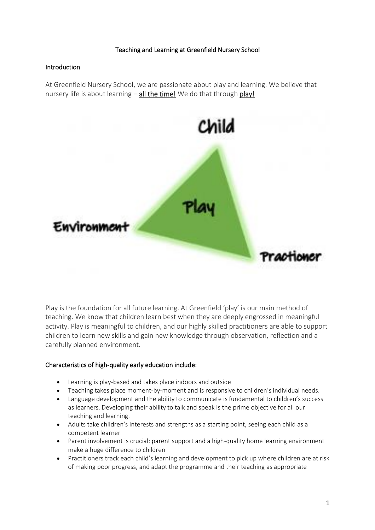### Teaching and Learning at Greenfield Nursery School

### Introduction

At Greenfield Nursery School, we are passionate about play and learning. We believe that nursery life is about learning – all the time! We do that through play!



Play is the foundation for all future learning. At Greenfield 'play' is our main method of teaching. We know that children learn best when they are deeply engrossed in meaningful activity. Play is meaningful to children, and our highly skilled practitioners are able to support children to learn new skills and gain new knowledge through observation, reflection and a carefully planned environment.

# Characteristics of high-quality early education include:

- Learning is play-based and takes place indoors and outside
- Teaching takes place moment-by-moment and is responsive to children's individual needs.
- Language development and the ability to communicate is fundamental to children's success as learners. Developing their ability to talk and speak is the prime objective for all our teaching and learning.
- Adults take children's interests and strengths as a starting point, seeing each child as a competent learner
- Parent involvement is crucial: parent support and a high-quality home learning environment make a huge difference to children
- Practitioners track each child's learning and development to pick up where children are at risk of making poor progress, and adapt the programme and their teaching as appropriate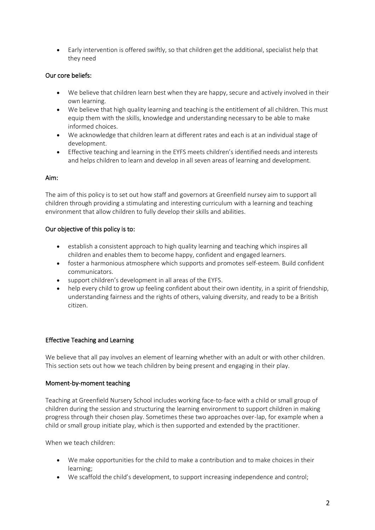• Early intervention is offered swiftly, so that children get the additional, specialist help that they need

# Our core beliefs:

- We believe that children learn best when they are happy, secure and actively involved in their own learning.
- We believe that high quality learning and teaching is the entitlement of all children. This must equip them with the skills, knowledge and understanding necessary to be able to make informed choices.
- We acknowledge that children learn at different rates and each is at an individual stage of development.
- Effective teaching and learning in the EYFS meets children's identified needs and interests and helps children to learn and develop in all seven areas of learning and development.

# Aim:

The aim of this policy is to set out how staff and governors at Greenfield nursey aim to support all children through providing a stimulating and interesting curriculum with a learning and teaching environment that allow children to fully develop their skills and abilities.

# Our objective of this policy is to:

- establish a consistent approach to high quality learning and teaching which inspires all children and enables them to become happy, confident and engaged learners.
- foster a harmonious atmosphere which supports and promotes self-esteem. Build confident communicators.
- support children's development in all areas of the EYFS.
- help every child to grow up feeling confident about their own identity, in a spirit of friendship, understanding fairness and the rights of others, valuing diversity, and ready to be a British citizen.

# Effective Teaching and Learning

We believe that all pay involves an element of learning whether with an adult or with other children. This section sets out how we teach children by being present and engaging in their play.

# Moment-by-moment teaching

Teaching at Greenfield Nursery School includes working face-to-face with a child or small group of children during the session and structuring the learning environment to support children in making progress through their chosen play. Sometimes these two approaches over-lap, for example when a child or small group initiate play, which is then supported and extended by the practitioner.

When we teach children:

- We make opportunities for the child to make a contribution and to make choices in their learning;
- We scaffold the child's development, to support increasing independence and control;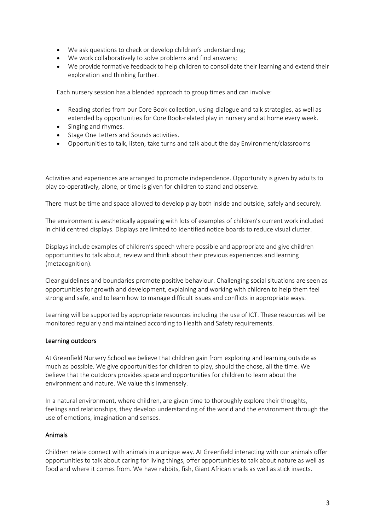- We ask questions to check or develop children's understanding;
- We work collaboratively to solve problems and find answers;
- We provide formative feedback to help children to consolidate their learning and extend their exploration and thinking further.

Each nursery session has a blended approach to group times and can involve:

- Reading stories from our Core Book collection, using dialogue and talk strategies, as well as extended by opportunities for Core Book-related play in nursery and at home every week.
- Singing and rhymes.
- Stage One Letters and Sounds activities.
- Opportunities to talk, listen, take turns and talk about the day Environment/classrooms

Activities and experiences are arranged to promote independence. Opportunity is given by adults to play co-operatively, alone, or time is given for children to stand and observe.

There must be time and space allowed to develop play both inside and outside, safely and securely.

The environment is aesthetically appealing with lots of examples of children's current work included in child centred displays. Displays are limited to identified notice boards to reduce visual clutter.

Displays include examples of children's speech where possible and appropriate and give children opportunities to talk about, review and think about their previous experiences and learning (metacognition).

Clear guidelines and boundaries promote positive behaviour. Challenging social situations are seen as opportunities for growth and development, explaining and working with children to help them feel strong and safe, and to learn how to manage difficult issues and conflicts in appropriate ways.

Learning will be supported by appropriate resources including the use of ICT. These resources will be monitored regularly and maintained according to Health and Safety requirements.

#### Learning outdoors

At Greenfield Nursery School we believe that children gain from exploring and learning outside as much as possible. We give opportunities for children to play, should the chose, all the time. We believe that the outdoors provides space and opportunities for children to learn about the environment and nature. We value this immensely.

In a natural environment, where children, are given time to thoroughly explore their thoughts, feelings and relationships, they develop understanding of the world and the environment through the use of emotions, imagination and senses.

#### Animals

Children relate connect with animals in a unique way. At Greenfield interacting with our animals offer opportunities to talk about caring for living things, offer opportunities to talk about nature as well as food and where it comes from. We have rabbits, fish, Giant African snails as well as stick insects.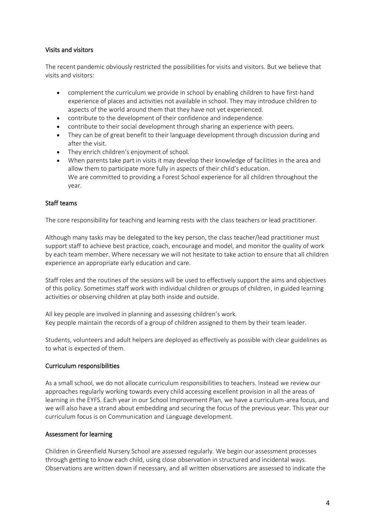### Visits and visitors

The recent pandemic obviously restricted the possibilities for visits and visitors. But we believe that visits and visitors:

- complement the curriculum we provide in school by enabling children to have first-hand experience of places and activities not available in school. They may introduce children to aspects of the world around them that they have not yet experienced.
- contribute to the development of their confidence and independence.
- contribute to their social development through sharing an experience with peers.
- They can be of great benefit to their language development through discussion during and after the visit.
- They enrich children's enjoyment of school.
- When parents take part in visits it may develop their knowledge of facilities in the area and allow them to participate more fully in aspects of their child's education. We are committed to providing a Forest School experience for all children throughout the year.

### Staff teams

The core responsibility for teaching and learning rests with the class teachers or lead practitioner.

Although many tasks may be delegated to the key person, the class teacher/lead practitioner must support staff to achieve best practice, coach, encourage and model, and monitor the quality of work by each team member. Where necessary we will not hesitate to take action to ensure that all children experience an appropriate early education and care.

Staff roles and the routines of the sessions will be used to effectively support the aims and objectives of this policy. Sometimes staff work with individual children or groups of children, in guided learning activities or observing children at play both inside and outside.

All key people are involved in planning and assessing children's work. Key people maintain the records of a group of children assigned to them by their team leader.

Students, volunteers and adult helpers are deployed as effectively as possible with clear guidelines as to what is expected of them.

#### Curriculum responsibilities

As a small school, we do not allocate curriculum responsibilities to teachers. Instead we review our approaches regularly working towards every child accessing excellent provision in all the areas of learning in the EYFS. Each year in our School Improvement Plan, we have a curriculum-area focus, and we will also have a strand about embedding and securing the focus of the previous year. This year our curriculum focus is on Communication and Language development.

#### Assessment for learning

Children in Greenfield Nursery School are assessed regularly. We begin our assessment processes through getting to know each child, using close observation in structured and incidental ways. Observations are written down if necessary, and all written observations are assessed to indicate the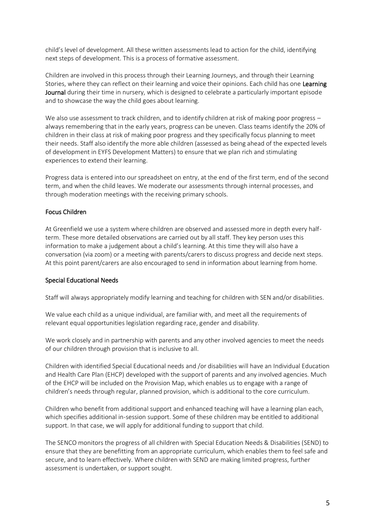child's level of development. All these written assessments lead to action for the child, identifying next steps of development. This is a process of formative assessment.

Children are involved in this process through their Learning Journeys, and through their Learning Stories, where they can reflect on their learning and voice their opinions. Each child has one Learning Journal during their time in nursery, which is designed to celebrate a particularly important episode and to showcase the way the child goes about learning.

We also use assessment to track children, and to identify children at risk of making poor progress – always remembering that in the early years, progress can be uneven. Class teams identify the 20% of children in their class at risk of making poor progress and they specifically focus planning to meet their needs. Staff also identify the more able children (assessed as being ahead of the expected levels of development in EYFS Development Matters) to ensure that we plan rich and stimulating experiences to extend their learning.

Progress data is entered into our spreadsheet on entry, at the end of the first term, end of the second term, and when the child leaves. We moderate our assessments through internal processes, and through moderation meetings with the receiving primary schools.

# Focus Children

At Greenfield we use a system where children are observed and assessed more in depth every halfterm. These more detailed observations are carried out by all staff. They key person uses this information to make a judgement about a child's learning. At this time they will also have a conversation (via zoom) or a meeting with parents/carers to discuss progress and decide next steps. At this point parent/carers are also encouraged to send in information about learning from home.

# Special Educational Needs

Staff will always appropriately modify learning and teaching for children with SEN and/or disabilities.

We value each child as a unique individual, are familiar with, and meet all the requirements of relevant equal opportunities legislation regarding race, gender and disability.

We work closely and in partnership with parents and any other involved agencies to meet the needs of our children through provision that is inclusive to all.

Children with identified Special Educational needs and /or disabilities will have an Individual Education and Health Care Plan (EHCP) developed with the support of parents and any involved agencies. Much of the EHCP will be included on the Provision Map, which enables us to engage with a range of children's needs through regular, planned provision, which is additional to the core curriculum.

Children who benefit from additional support and enhanced teaching will have a learning plan each, which specifies additional in-session support. Some of these children may be entitled to additional support. In that case, we will apply for additional funding to support that child.

The SENCO monitors the progress of all children with Special Education Needs & Disabilities (SEND) to ensure that they are benefitting from an appropriate curriculum, which enables them to feel safe and secure, and to learn effectively. Where children with SEND are making limited progress, further assessment is undertaken, or support sought.